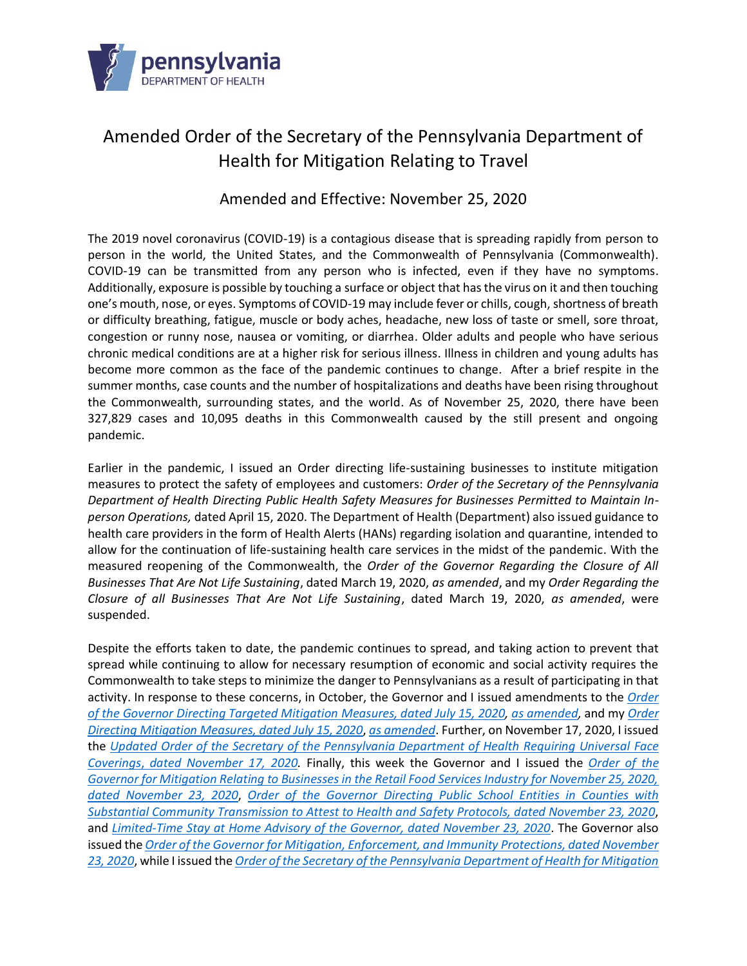

# Amended Order of the Secretary of the Pennsylvania Department of Health for Mitigation Relating to Travel

# Amended and Effective: November 25, 2020

The 2019 novel coronavirus (COVID-19) is a contagious disease that is spreading rapidly from person to person in the world, the United States, and the Commonwealth of Pennsylvania (Commonwealth). COVID-19 can be transmitted from any person who is infected, even if they have no symptoms. Additionally, exposure is possible by touching a surface or object that has the virus on it and then touching one's mouth, nose, or eyes. Symptoms of COVID-19 may include fever or chills, cough, shortness of breath or difficulty breathing, fatigue, muscle or body aches, headache, new loss of taste or smell, sore throat, congestion or runny nose, nausea or vomiting, or diarrhea. Older adults and people who have serious chronic medical conditions are at a higher risk for serious illness. Illness in children and young adults has become more common as the face of the pandemic continues to change. After a brief respite in the summer months, case counts and the number of hospitalizations and deaths have been rising throughout the Commonwealth, surrounding states, and the world. As of November 25, 2020, there have been 327,829 cases and 10,095 deaths in this Commonwealth caused by the still present and ongoing pandemic.

Earlier in the pandemic, I issued an Order directing life-sustaining businesses to institute mitigation measures to protect the safety of employees and customers: *Order of the Secretary of the Pennsylvania Department of Health Directing Public Health Safety Measures for Businesses Permitted to Maintain Inperson Operations,* dated April 15, 2020. The Department of Health (Department) also issued guidance to health care providers in the form of Health Alerts (HANs) regarding isolation and quarantine, intended to allow for the continuation of life-sustaining health care services in the midst of the pandemic. With the measured reopening of the Commonwealth, the *Order of the Governor Regarding the Closure of All Businesses That Are Not Life Sustaining*, dated March 19, 2020, *as amended*, and my *Order Regarding the Closure of all Businesses That Are Not Life Sustaining*, dated March 19, 2020, *as amended*, were suspended.

Despite the efforts taken to date, the pandemic continues to spread, and taking action to prevent that spread while continuing to allow for necessary resumption of economic and social activity requires the Commonwealth to take steps to minimize the danger to Pennsylvanians as a result of participating in that activity. In response to these concerns, in October, the Governor and I issued amendments to the *[Order](https://www.governor.pa.gov/wp-content/uploads/2020/07/20200715-TWW-targeted-mitigation-order.pdf)  of the Governor [Directing Targeted Mitigation Measures, dated July 15, 2020,](https://www.governor.pa.gov/wp-content/uploads/2020/07/20200715-TWW-targeted-mitigation-order.pdf) [as amended,](https://www.governor.pa.gov/wp-content/uploads/2020/10/20201006-TWW-amendment-to-targeted-mitigation-order.pdf)* and my *[Order](https://www.governor.pa.gov/wp-content/uploads/2020/07/20200715-SOH-targeted-mitigation-order.pdf)  [Directing Mitigation Measures, dated July 15, 2020](https://www.governor.pa.gov/wp-content/uploads/2020/07/20200715-SOH-targeted-mitigation-order.pdf)*, *[as amended](https://www.governor.pa.gov/wp-content/uploads/2020/10/20201006-SOH-amendment-to-targeted-mitigation-order.pdf)*. Further, on November 17, 2020, I issued the *Updated [Order of the Secretary of the Pennsylvania Department of Health](https://www.governor.pa.gov/wp-content/uploads/2020/11/20201117-SOH-Universal-Face-Coverings-Order-Update.pdf) Requiring Universal Face Coverings*, *[dated November 17, 2020.](https://www.governor.pa.gov/wp-content/uploads/2020/11/20201117-SOH-Universal-Face-Coverings-Order-Update.pdf)* Finally, this week the Governor and I issued the *[Order of the](https://www.governor.pa.gov/wp-content/uploads/2020/11/20201123-TWW-retail-food-services-mitigation-order.pdf)  [Governor for Mitigation Relating to Businesses in the Retail Food Services Industry for November 25, 2020,](https://www.governor.pa.gov/wp-content/uploads/2020/11/20201123-TWW-retail-food-services-mitigation-order.pdf)  [dated November 23, 2020](https://www.governor.pa.gov/wp-content/uploads/2020/11/20201123-TWW-retail-food-services-mitigation-order.pdf)*, *[Order of the Governor Directing Public School Entities in Counties with](https://www.governor.pa.gov/wp-content/uploads/2020/11/20201123-TWW-remote-learning-order.pdf)  [Substantial Community Transmission to Attest to Health and Safety Protocols, dated November 23, 2020](https://www.governor.pa.gov/wp-content/uploads/2020/11/20201123-TWW-remote-learning-order.pdf)*, and *[Limited-Time Stay at Home Advisory of the Governor, dated November 23, 2020](https://www.governor.pa.gov/wp-content/uploads/2020/11/20201123-TWW-stay-at-home-advisory.pdf)*. The Governor also issued the *[Order of the Governor for Mitigation, Enforcement, and Immunity](https://www.governor.pa.gov/wp-content/uploads/2020/11/20201123-TWW-mitigation-enforcement-immunity-order.pdf) Protections, dated November [23, 2020](https://www.governor.pa.gov/wp-content/uploads/2020/11/20201123-TWW-mitigation-enforcement-immunity-order.pdf)*, while I issued the *[Order of the Secretary of the Pennsylvania Department of Health for Mitigation](https://www.governor.pa.gov/wp-content/uploads/2020/11/20201123-Order-of-the-Secretary-for-Mitigation-and-Enforcement-SIGNED.pdf)*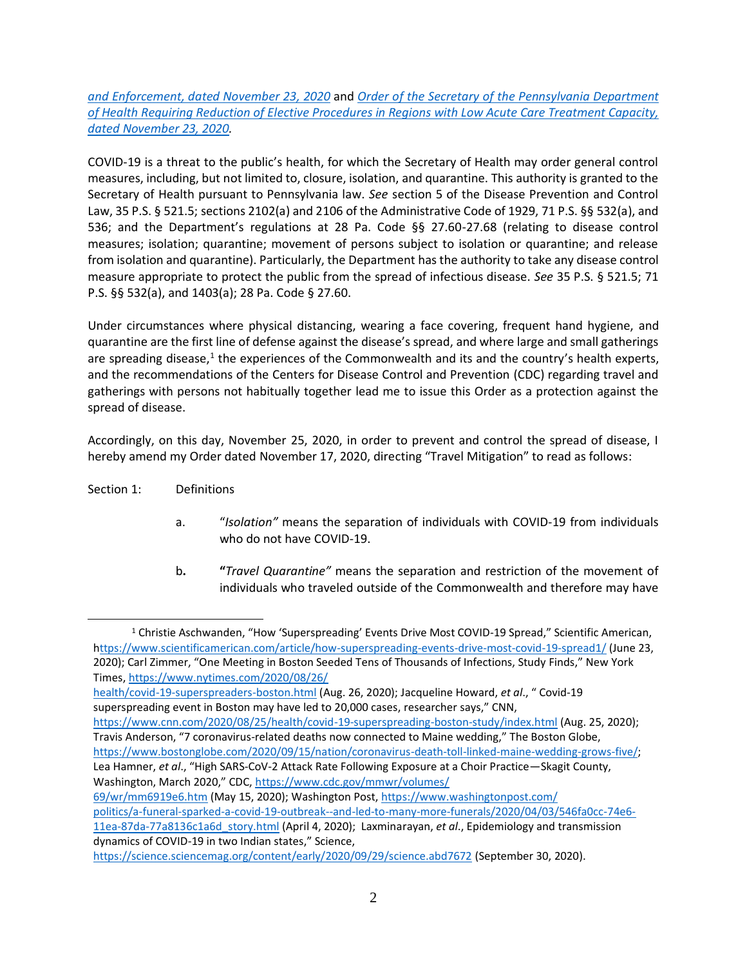*[and Enforcement, dated November 23, 2020](https://www.governor.pa.gov/wp-content/uploads/2020/11/20201123-Order-of-the-Secretary-for-Mitigation-and-Enforcement-SIGNED.pdf)* and *[Order of the Secretary of the Pennsylvania Department](https://www.governor.pa.gov/wp-content/uploads/2020/11/20201123-Order-of-the-Secretary-Regional-Reduction-of-Elective-Procedures-Signed.pdf)  [of Health Requiring Reduction of Elective Procedures in Regions with Low Acute Care Treatment Capacity,](https://www.governor.pa.gov/wp-content/uploads/2020/11/20201123-Order-of-the-Secretary-Regional-Reduction-of-Elective-Procedures-Signed.pdf)  [dated November 23, 2020.](https://www.governor.pa.gov/wp-content/uploads/2020/11/20201123-Order-of-the-Secretary-Regional-Reduction-of-Elective-Procedures-Signed.pdf)*

COVID-19 is a threat to the public's health, for which the Secretary of Health may order general control measures, including, but not limited to, closure, isolation, and quarantine. This authority is granted to the Secretary of Health pursuant to Pennsylvania law. *See* section 5 of the Disease Prevention and Control Law, 35 P.S. § 521.5; sections 2102(a) and 2106 of the Administrative Code of 1929, 71 P.S. §§ 532(a), and 536; and the Department's regulations at 28 Pa. Code §§ 27.60-27.68 (relating to disease control measures; isolation; quarantine; movement of persons subject to isolation or quarantine; and release from isolation and quarantine). Particularly, the Department has the authority to take any disease control measure appropriate to protect the public from the spread of infectious disease. *See* 35 P.S. § 521.5; 71 P.S. §§ 532(a), and 1403(a); 28 Pa. Code § 27.60.

Under circumstances where physical distancing, wearing a face covering, frequent hand hygiene, and quarantine are the first line of defense against the disease's spread, and where large and small gatherings are spreading disease,<sup>1</sup> the experiences of the Commonwealth and its and the country's health experts, and the recommendations of the Centers for Disease Control and Prevention (CDC) regarding travel and gatherings with persons not habitually together lead me to issue this Order as a protection against the spread of disease.

Accordingly, on this day, November 25, 2020, in order to prevent and control the spread of disease, I hereby amend my Order dated November 17, 2020, directing "Travel Mitigation" to read as follows:

- Section 1: Definitions
	- a. "*Isolation"* means the separation of individuals with COVID-19 from individuals who do not have COVID-19.
	- b**. "***Travel Quarantine"* means the separation and restriction of the movement of individuals who traveled outside of the Commonwealth and therefore may have

<https://www.cnn.com/2020/08/25/health/covid-19-superspreading-boston-study/index.html> (Aug. 25, 2020); Travis Anderson, "7 coronavirus-related deaths now connected to Maine wedding," The Boston Globe,

Washington, March 2020," CDC, [https://www.cdc.gov/mmwr/volumes/](https://www.cdc.gov/mmwr/volumes/69/wr/mm6919e6.htm)

<sup>&</sup>lt;sup>1</sup> Christie Aschwanden, "How 'Superspreading' Events Drive Most COVID-19 Spread," Scientific American, <https://www.scientificamerican.com/article/how-superspreading-events-drive-most-covid-19-spread1/> (June 23,

<sup>2020);</sup> Carl Zimmer, "One Meeting in Boston Seeded Tens of Thousands of Infections, Study Finds," New York Times[, https://www.nytimes.com/2020/08/26/](https://www.nytimes.com/2020/08/26/health/covid-19-superspreaders-boston.html)

[health/covid-19-superspreaders-boston.html](https://www.nytimes.com/2020/08/26/health/covid-19-superspreaders-boston.html) (Aug. 26, 2020); Jacqueline Howard, *et al*., " Covid-19 superspreading event in Boston may have led to 20,000 cases, researcher says," CNN,

[https://www.bostonglobe.com/2020/09/15/nation/coronavirus-death-toll-linked-maine-wedding-grows-five/;](https://www.bostonglobe.com/2020/09/15/nation/coronavirus-death-toll-linked-maine-wedding-grows-five/) Lea Hamner, *et al*., "High SARS-CoV-2 Attack Rate Following Exposure at a Choir Practice—Skagit County,

[<sup>69/</sup>wr/mm6919e6.htm](https://www.cdc.gov/mmwr/volumes/69/wr/mm6919e6.htm) (May 15, 2020); Washington Post[, https://www.washingtonpost.com/](https://www.washingtonpost.com/politics/a-funeral-sparked-a-covid-19-outbreak--and-led-to-many-more-funerals/2020/04/03/546fa0cc-74e6-11ea-87da-77a8136c1a6d_story.html) [politics/a-funeral-sparked-a-covid-19-outbreak--and-led-to-many-more-funerals/2020/04/03/546fa0cc-74e6-](https://www.washingtonpost.com/politics/a-funeral-sparked-a-covid-19-outbreak--and-led-to-many-more-funerals/2020/04/03/546fa0cc-74e6-11ea-87da-77a8136c1a6d_story.html) [11ea-87da-77a8136c1a6d\\_story.html](https://www.washingtonpost.com/politics/a-funeral-sparked-a-covid-19-outbreak--and-led-to-many-more-funerals/2020/04/03/546fa0cc-74e6-11ea-87da-77a8136c1a6d_story.html) (April 4, 2020); Laxminarayan, *et al*., Epidemiology and transmission dynamics of COVID-19 in two Indian states," Science,

<https://science.sciencemag.org/content/early/2020/09/29/science.abd7672> (September 30, 2020).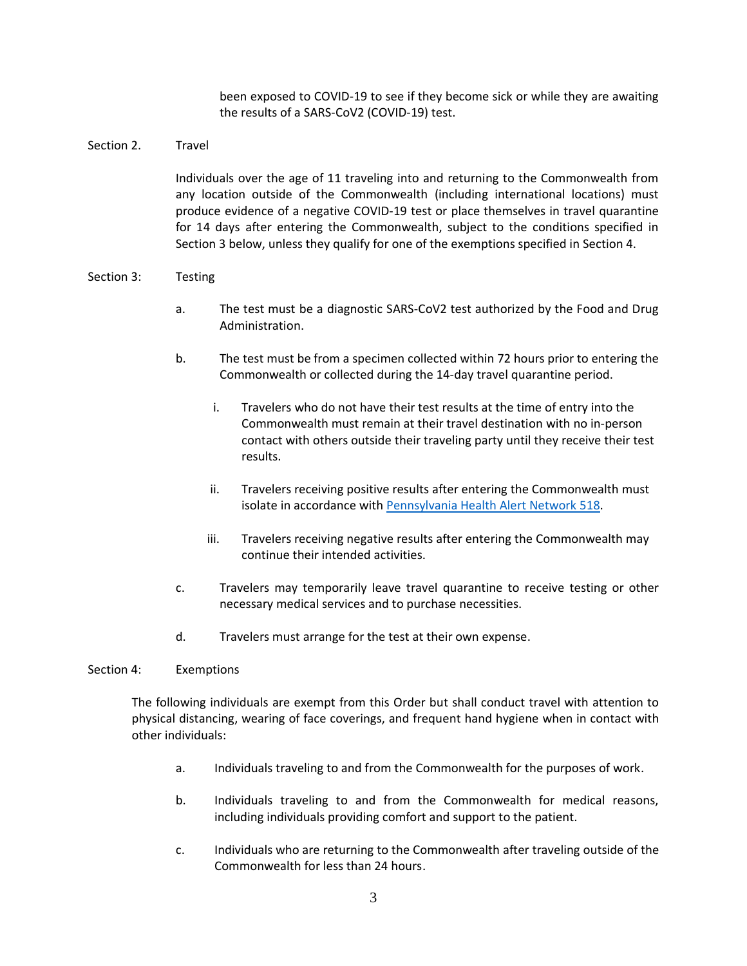been exposed to COVID-19 to see if they become sick or while they are awaiting the results of a SARS-CoV2 (COVID-19) test.

## Section 2. Travel

Individuals over the age of 11 traveling into and returning to the Commonwealth from any location outside of the Commonwealth (including international locations) must produce evidence of a negative COVID-19 test or place themselves in travel quarantine for 14 days after entering the Commonwealth, subject to the conditions specified in Section 3 below, unless they qualify for one of the exemptions specified in Section 4.

### Section 3: Testing

- a. The test must be a diagnostic SARS-CoV2 test authorized by the Food and Drug Administration.
- b. The test must be from a specimen collected within 72 hours prior to entering the Commonwealth or collected during the 14-day travel quarantine period.
	- i. Travelers who do not have their test results at the time of entry into the Commonwealth must remain at their travel destination with no in-person contact with others outside their traveling party until they receive their test results.
	- ii. Travelers receiving positive results after entering the Commonwealth must isolate in accordance with [Pennsylvania Health Alert Network 518.](https://www.health.pa.gov/topics/Documents/HAN/2020-PAHAN-518-07-20-UPD%20-Interim%20Gu.pdf)
	- iii. Travelers receiving negative results after entering the Commonwealth may continue their intended activities.
- c. Travelers may temporarily leave travel quarantine to receive testing or other necessary medical services and to purchase necessities.
- d. Travelers must arrange for the test at their own expense.

#### Section 4: Exemptions

The following individuals are exempt from this Order but shall conduct travel with attention to physical distancing, wearing of face coverings, and frequent hand hygiene when in contact with other individuals:

- a. Individuals traveling to and from the Commonwealth for the purposes of work.
- b. Individuals traveling to and from the Commonwealth for medical reasons, including individuals providing comfort and support to the patient.
- c. Individuals who are returning to the Commonwealth after traveling outside of the Commonwealth for less than 24 hours.